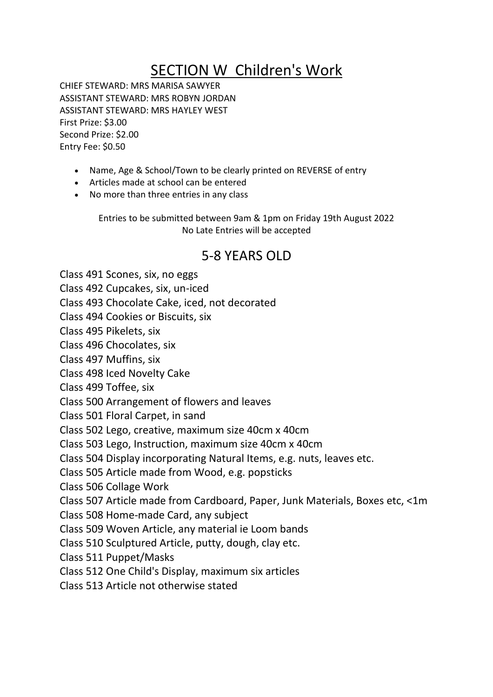## SECTION W Children's Work

CHIEF STEWARD: MRS MARISA SAWYER ASSISTANT STEWARD: MRS ROBYN JORDAN ASSISTANT STEWARD: MRS HAYLEY WEST First Prize: \$3.00 Second Prize: \$2.00 Entry Fee: \$0.50

- Name, Age & School/Town to be clearly printed on REVERSE of entry
- Articles made at school can be entered
- No more than three entries in any class

Entries to be submitted between 9am & 1pm on Friday 19th August 2022 No Late Entries will be accepted

## 5-8 YEARS OLD

Class 491 Scones, six, no eggs

Class 492 Cupcakes, six, un-iced

Class 493 Chocolate Cake, iced, not decorated

Class 494 Cookies or Biscuits, six

Class 495 Pikelets, six

Class 496 Chocolates, six

Class 497 Muffins, six

Class 498 Iced Novelty Cake

Class 499 Toffee, six

Class 500 Arrangement of flowers and leaves

Class 501 Floral Carpet, in sand

Class 502 Lego, creative, maximum size 40cm x 40cm

Class 503 Lego, Instruction, maximum size 40cm x 40cm

Class 504 Display incorporating Natural Items, e.g. nuts, leaves etc.

Class 505 Article made from Wood, e.g. popsticks

Class 506 Collage Work

Class 507 Article made from Cardboard, Paper, Junk Materials, Boxes etc, <1m

Class 508 Home-made Card, any subject

Class 509 Woven Article, any material ie Loom bands

Class 510 Sculptured Article, putty, dough, clay etc.

Class 511 Puppet/Masks

Class 512 One Child's Display, maximum six articles

Class 513 Article not otherwise stated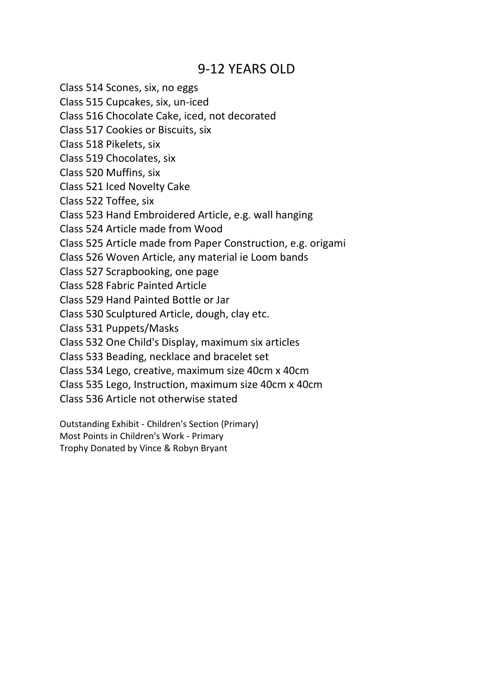## 9-12 YEARS OLD

Class 514 Scones, six, no eggs

Class 515 Cupcakes, six, un-iced

Class 516 Chocolate Cake, iced, not decorated

Class 517 Cookies or Biscuits, six

Class 518 Pikelets, six

Class 519 Chocolates, six

Class 520 Muffins, six

Class 521 Iced Novelty Cake

Class 522 Toffee, six

Class 523 Hand Embroidered Article, e.g. wall hanging

Class 524 Article made from Wood

Class 525 Article made from Paper Construction, e.g. origami

Class 526 Woven Article, any material ie Loom bands

Class 527 Scrapbooking, one page

Class 528 Fabric Painted Article

Class 529 Hand Painted Bottle or Jar

Class 530 Sculptured Article, dough, clay etc.

Class 531 Puppets/Masks

Class 532 One Child's Display, maximum six articles

Class 533 Beading, necklace and bracelet set

Class 534 Lego, creative, maximum size 40cm x 40cm

Class 535 Lego, Instruction, maximum size 40cm x 40cm

Class 536 Article not otherwise stated

Outstanding Exhibit - Children's Section (Primary)

Most Points in Children's Work - Primary

Trophy Donated by Vince & Robyn Bryant